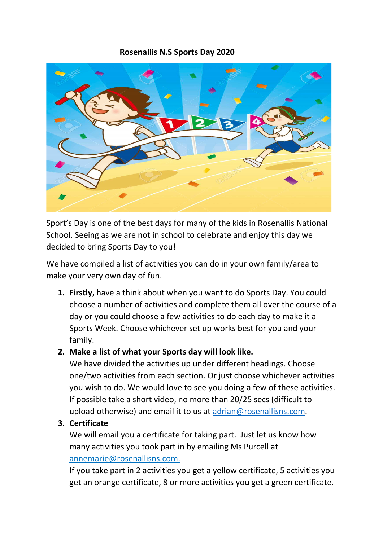#### Rosenallis N.S Sports Day 2020



Sport's Day is one of the best days for many of the kids in Rosenallis National School. Seeing as we are not in school to celebrate and enjoy this day we decided to bring Sports Day to you!

We have compiled a list of activities you can do in your own family/area to make your very own day of fun.

1. Firstly, have a think about when you want to do Sports Day. You could choose a number of activities and complete them all over the course of a day or you could choose a few activities to do each day to make it a Sports Week. Choose whichever set up works best for you and your family.

### 2. Make a list of what your Sports day will look like.

We have divided the activities up under different headings. Choose one/two activities from each section. Or just choose whichever activities you wish to do. We would love to see you doing a few of these activities. If possible take a short video, no more than 20/25 secs (difficult to upload otherwise) and email it to us at adrian@rosenallisns.com.

### 3. Certificate

We will email you a certificate for taking part. Just let us know how many activities you took part in by emailing Ms Purcell at annemarie@rosenallisns.com.

If you take part in 2 activities you get a yellow certificate, 5 activities you get an orange certificate, 8 or more activities you get a green certificate.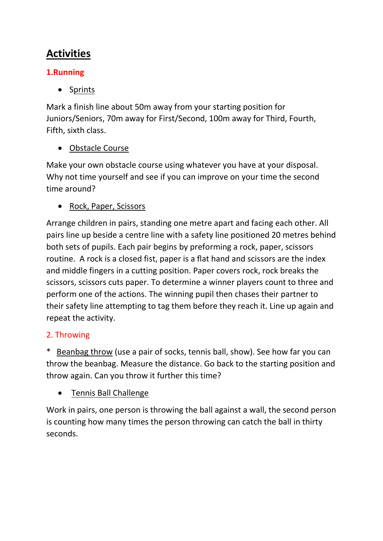# Activities

# 1.Running

• Sprints

Mark a finish line about 50m away from your starting position for Juniors/Seniors, 70m away for First/Second, 100m away for Third, Fourth, Fifth, sixth class.

# Obstacle Course

Make your own obstacle course using whatever you have at your disposal. Why not time yourself and see if you can improve on your time the second time around?

# • Rock, Paper, Scissors

Arrange children in pairs, standing one metre apart and facing each other. All pairs line up beside a centre line with a safety line positioned 20 metres behind both sets of pupils. Each pair begins by preforming a rock, paper, scissors routine. A rock is a closed fist, paper is a flat hand and scissors are the index and middle fingers in a cutting position. Paper covers rock, rock breaks the scissors, scissors cuts paper. To determine a winner players count to three and perform one of the actions. The winning pupil then chases their partner to their safety line attempting to tag them before they reach it. Line up again and repeat the activity.

# 2. Throwing

Beanbag throw (use a pair of socks, tennis ball, show). See how far you can throw the beanbag. Measure the distance. Go back to the starting position and throw again. Can you throw it further this time?

# Tennis Ball Challenge

Work in pairs, one person is throwing the ball against a wall, the second person is counting how many times the person throwing can catch the ball in thirty seconds.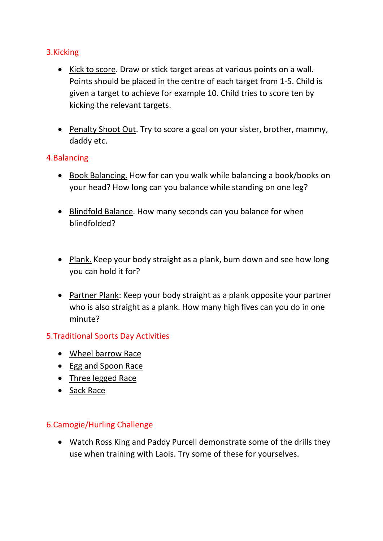### 3.Kicking

- Kick to score. Draw or stick target areas at various points on a wall. Points should be placed in the centre of each target from 1-5. Child is given a target to achieve for example 10. Child tries to score ten by kicking the relevant targets.
- Penalty Shoot Out. Try to score a goal on your sister, brother, mammy, daddy etc.

#### 4.Balancing

- Book Balancing. How far can you walk while balancing a book/books on your head? How long can you balance while standing on one leg?
- Blindfold Balance. How many seconds can you balance for when blindfolded?
- Plank. Keep your body straight as a plank, bum down and see how long you can hold it for?
- Partner Plank: Keep your body straight as a plank opposite your partner who is also straight as a plank. How many high fives can you do in one minute?

### 5.Traditional Sports Day Activities

- Wheel barrow Race
- Egg and Spoon Race
- Three legged Race
- Sack Race

### 6.Camogie/Hurling Challenge

 Watch Ross King and Paddy Purcell demonstrate some of the drills they use when training with Laois. Try some of these for yourselves.